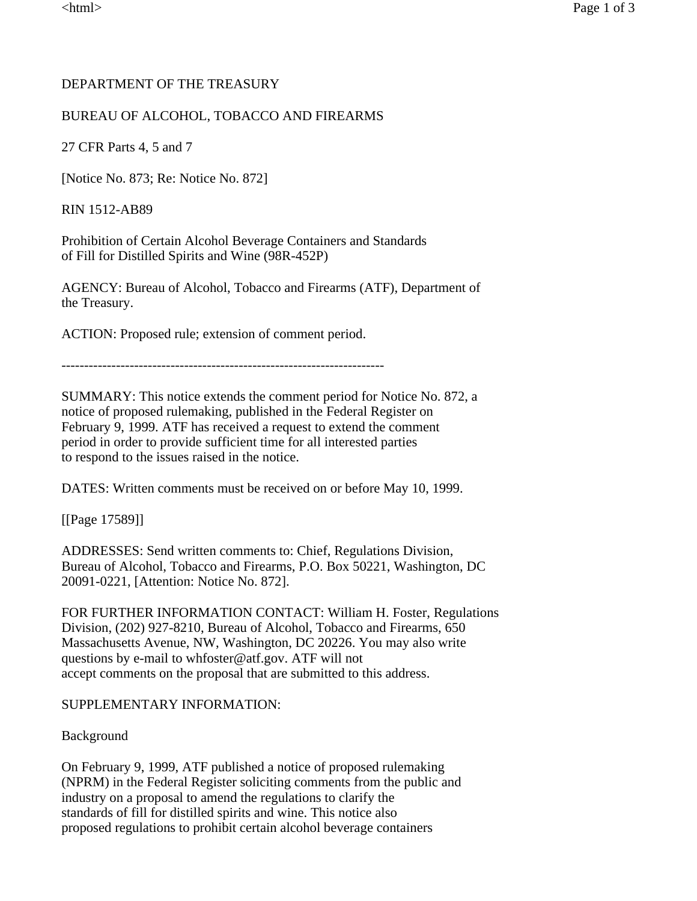# DEPARTMENT OF THE TREASURY

# BUREAU OF ALCOHOL, TOBACCO AND FIREARMS

27 CFR Parts 4, 5 and 7

[Notice No. 873; Re: Notice No. 872]

RIN 1512-AB89

Prohibition of Certain Alcohol Beverage Containers and Standards of Fill for Distilled Spirits and Wine (98R-452P)

AGENCY: Bureau of Alcohol, Tobacco and Firearms (ATF), Department of the Treasury.

ACTION: Proposed rule; extension of comment period.

SUMMARY: This notice extends the comment period for Notice No. 872, a notice of proposed rulemaking, published in the Federal Register on February 9, 1999. ATF has received a request to extend the comment period in order to provide sufficient time for all interested parties to respond to the issues raised in the notice.

DATES: Written comments must be received on or before May 10, 1999.

[[Page 17589]]

ADDRESSES: Send written comments to: Chief, Regulations Division, Bureau of Alcohol, Tobacco and Firearms, P.O. Box 50221, Washington, DC 20091-0221, [Attention: Notice No. 872].

FOR FURTHER INFORMATION CONTACT: William H. Foster, Regulations Division, (202) 927-8210, Bureau of Alcohol, Tobacco and Firearms, 650 Massachusetts Avenue, NW, Washington, DC 20226. You may also write questions by e-mail to whfoster@atf.gov. ATF will not accept comments on the proposal that are submitted to this address.

### SUPPLEMENTARY INFORMATION:

Background

On February 9, 1999, ATF published a notice of proposed rulemaking (NPRM) in the Federal Register soliciting comments from the public and industry on a proposal to amend the regulations to clarify the standards of fill for distilled spirits and wine. This notice also proposed regulations to prohibit certain alcohol beverage containers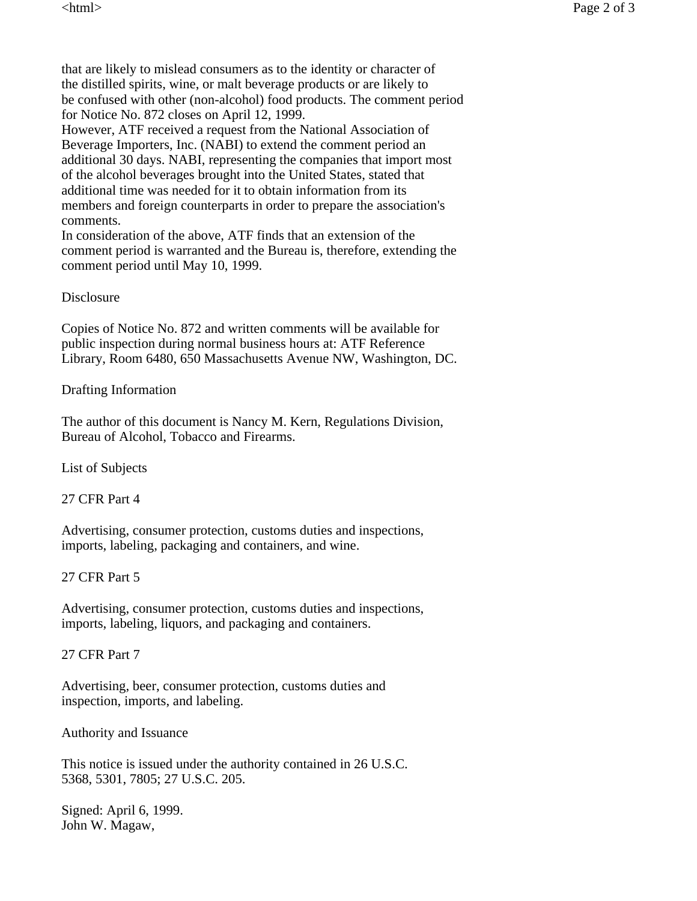that are likely to mislead consumers as to the identity or character of the distilled spirits, wine, or malt beverage products or are likely to be confused with other (non-alcohol) food products. The comment period for Notice No. 872 closes on April 12, 1999.

However, ATF received a request from the National Association of Beverage Importers, Inc. (NABI) to extend the comment period an additional 30 days. NABI, representing the companies that import most of the alcohol beverages brought into the United States, stated that additional time was needed for it to obtain information from its members and foreign counterparts in order to prepare the association's comments.

In consideration of the above, ATF finds that an extension of the comment period is warranted and the Bureau is, therefore, extending the comment period until May 10, 1999.

### **Disclosure**

Copies of Notice No. 872 and written comments will be available for public inspection during normal business hours at: ATF Reference Library, Room 6480, 650 Massachusetts Avenue NW, Washington, DC.

#### Drafting Information

The author of this document is Nancy M. Kern, Regulations Division, Bureau of Alcohol, Tobacco and Firearms.

List of Subjects

27 CFR Part 4

Advertising, consumer protection, customs duties and inspections, imports, labeling, packaging and containers, and wine.

#### 27 CFR Part 5

Advertising, consumer protection, customs duties and inspections, imports, labeling, liquors, and packaging and containers.

#### 27 CFR Part 7

Advertising, beer, consumer protection, customs duties and inspection, imports, and labeling.

#### Authority and Issuance

This notice is issued under the authority contained in 26 U.S.C. 5368, 5301, 7805; 27 U.S.C. 205.

Signed: April 6, 1999. John W. Magaw,